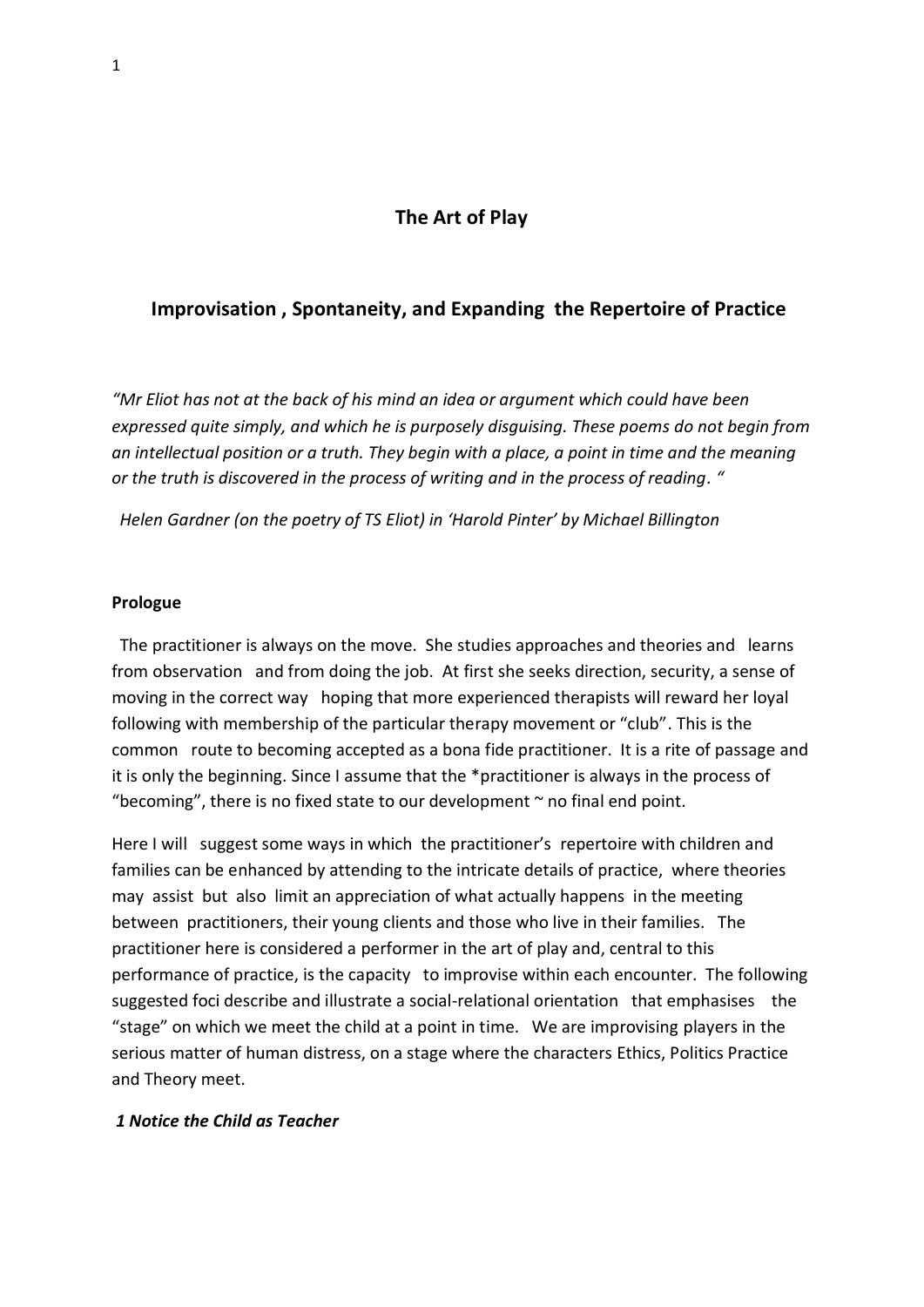## **The Art of Play**

## **Improvisation , Spontaneity, and Expanding the Repertoire of Practice**

*"Mr Eliot has not at the back of his mind an idea or argument which could have been expressed quite simply, and which he is purposely disguising. These poems do not begin from an intellectual position or a truth. They begin with a place, a point in time and the meaning or the truth is discovered in the process of writing and in the process of reading. "*

 *Helen Gardner (on the poetry of TS Eliot) in 'Harold Pinter' by Michael Billington*

#### **Prologue**

 The practitioner is always on the move. She studies approaches and theories and learns from observation and from doing the job. At first she seeks direction, security, a sense of moving in the correct way hoping that more experienced therapists will reward her loyal following with membership of the particular therapy movement or "club". This is the common route to becoming accepted as a bona fide practitioner. It is a rite of passage and it is only the beginning. Since I assume that the \*practitioner is always in the process of "becoming", there is no fixed state to our development  $\sim$  no final end point.

Here I will suggest some ways in which the practitioner's repertoire with children and families can be enhanced by attending to the intricate details of practice, where theories may assist but also limit an appreciation of what actually happens in the meeting between practitioners, their young clients and those who live in their families. The practitioner here is considered a performer in the art of play and, central to this performance of practice, is the capacity to improvise within each encounter. The following suggested foci describe and illustrate a social-relational orientation that emphasises the "stage" on which we meet the child at a point in time. We are improvising players in the serious matter of human distress, on a stage where the characters Ethics, Politics Practice and Theory meet.

#### *1 Notice the Child as Teacher*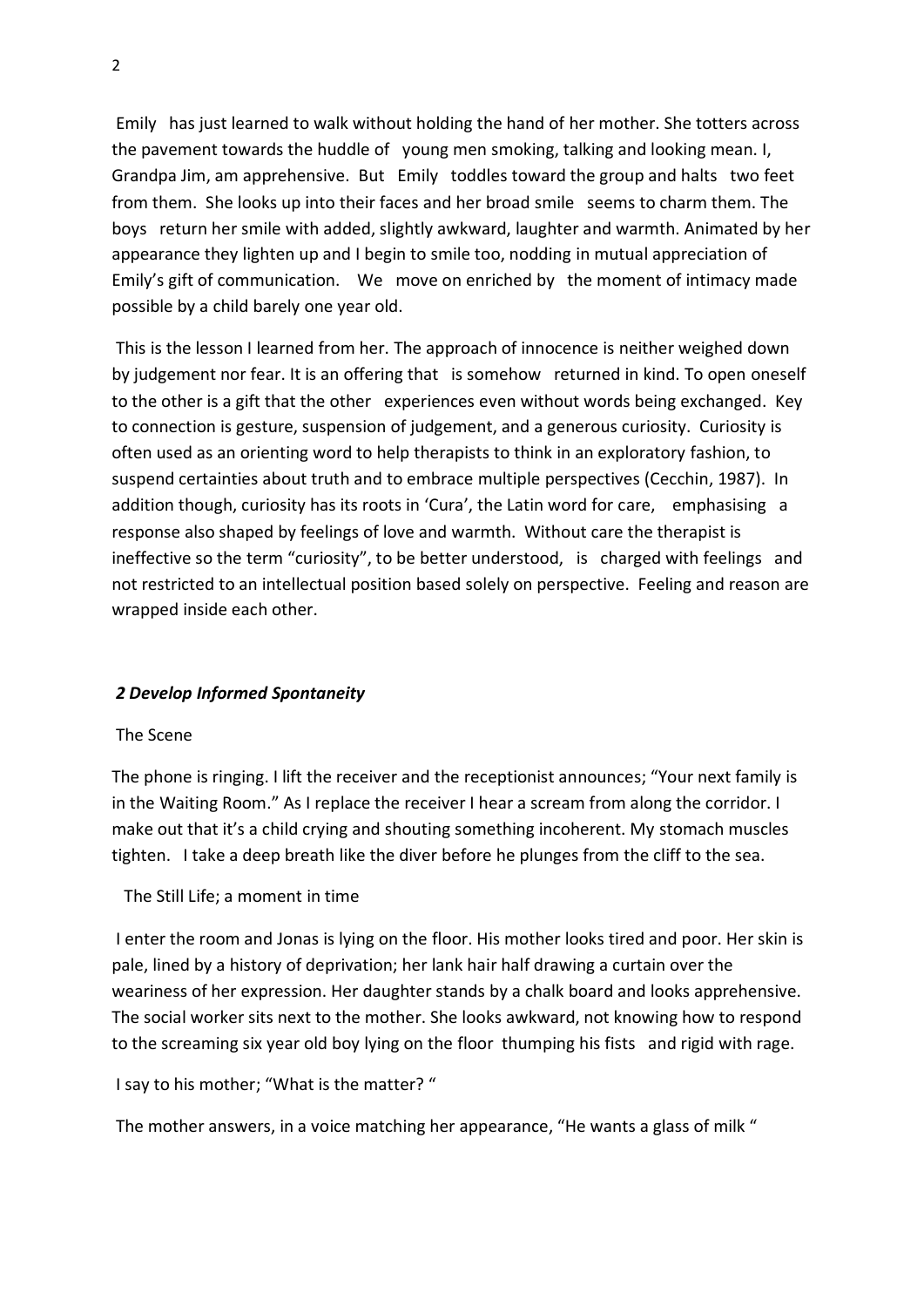Emily has just learned to walk without holding the hand of her mother. She totters across the pavement towards the huddle of young men smoking, talking and looking mean. I, Grandpa Jim, am apprehensive. But Emily toddles toward the group and halts two feet from them. She looks up into their faces and her broad smile seems to charm them. The boys return her smile with added, slightly awkward, laughter and warmth. Animated by her appearance they lighten up and I begin to smile too, nodding in mutual appreciation of Emily's gift of communication. We move on enriched by the moment of intimacy made possible by a child barely one year old.

This is the lesson I learned from her. The approach of innocence is neither weighed down by judgement nor fear. It is an offering that is somehow returned in kind. To open oneself to the other is a gift that the other experiences even without words being exchanged. Key to connection is gesture, suspension of judgement, and a generous curiosity. Curiosity is often used as an orienting word to help therapists to think in an exploratory fashion, to suspend certainties about truth and to embrace multiple perspectives (Cecchin, 1987). In addition though, curiosity has its roots in 'Cura', the Latin word for care, emphasising a response also shaped by feelings of love and warmth. Without care the therapist is ineffective so the term "curiosity", to be better understood, is charged with feelings and not restricted to an intellectual position based solely on perspective. Feeling and reason are wrapped inside each other.

### *2 Develop Informed Spontaneity*

#### The Scene

The phone is ringing. I lift the receiver and the receptionist announces; "Your next family is in the Waiting Room." As I replace the receiver I hear a scream from along the corridor. I make out that it's a child crying and shouting something incoherent. My stomach muscles tighten. I take a deep breath like the diver before he plunges from the cliff to the sea.

#### The Still Life; a moment in time

I enter the room and Jonas is lying on the floor. His mother looks tired and poor. Her skin is pale, lined by a history of deprivation; her lank hair half drawing a curtain over the weariness of her expression. Her daughter stands by a chalk board and looks apprehensive. The social worker sits next to the mother. She looks awkward, not knowing how to respond to the screaming six year old boy lying on the floor thumping his fists and rigid with rage.

#### I say to his mother; "What is the matter? "

The mother answers, in a voice matching her appearance, "He wants a glass of milk "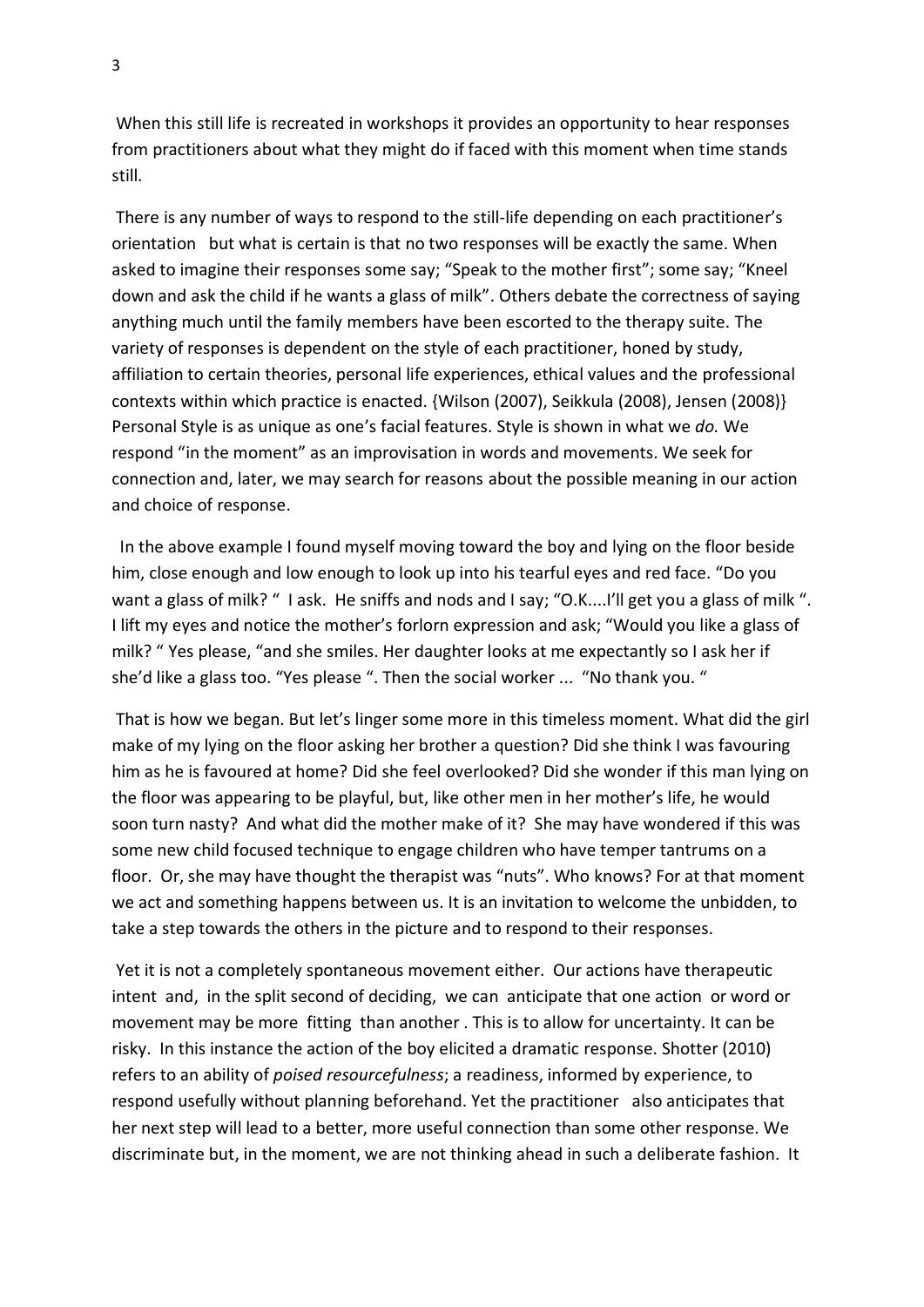When this still life is recreated in workshops it provides an opportunity to hear responses from practitioners about what they might do if faced with this moment when time stands still.

There is any number of ways to respond to the still-life depending on each practitioner's orientation but what is certain is that no two responses will be exactly the same. When asked to imagine their responses some say; "Speak to the mother first"; some say; "Kneel down and ask the child if he wants a glass of milk". Others debate the correctness of saying anything much until the family members have been escorted to the therapy suite. The variety of responses is dependent on the style of each practitioner, honed by study, affiliation to certain theories, personal life experiences, ethical values and the professional contexts within which practice is enacted. {Wilson (2007), Seikkula (2008), Jensen (2008)} Personal Style is as unique as one's facial features. Style is shown in what we *do.* We respond "in the moment" as an improvisation in words and movements. We seek for connection and, later, we may search for reasons about the possible meaning in our action and choice of response.

 In the above example I found myself moving toward the boy and lying on the floor beside him, close enough and low enough to look up into his tearful eyes and red face. "Do you want a glass of milk? " I ask. He sniffs and nods and I say; "O.K....I'll get you a glass of milk ". I lift my eyes and notice the mother's forlorn expression and ask; "Would you like a glass of milk? " Yes please, "and she smiles. Her daughter looks at me expectantly so I ask her if she'd like a glass too. "Yes please ". Then the social worker ... "No thank you. "

That is how we began. But let's linger some more in this timeless moment. What did the girl make of my lying on the floor asking her brother a question? Did she think I was favouring him as he is favoured at home? Did she feel overlooked? Did she wonder if this man lying on the floor was appearing to be playful, but, like other men in her mother's life, he would soon turn nasty? And what did the mother make of it? She may have wondered if this was some new child focused technique to engage children who have temper tantrums on a floor. Or, she may have thought the therapist was "nuts". Who knows? For at that moment we act and something happens between us. It is an invitation to welcome the unbidden, to take a step towards the others in the picture and to respond to their responses.

Yet it is not a completely spontaneous movement either. Our actions have therapeutic intent and, in the split second of deciding, we can anticipate that one action or word or movement may be more fitting than another . This is to allow for uncertainty. It can be risky. In this instance the action of the boy elicited a dramatic response. Shotter (2010) refers to an ability of *poised resourcefulness*; a readiness, informed by experience, to respond usefully without planning beforehand. Yet the practitioner also anticipates that her next step will lead to a better, more useful connection than some other response. We discriminate but, in the moment, we are not thinking ahead in such a deliberate fashion. It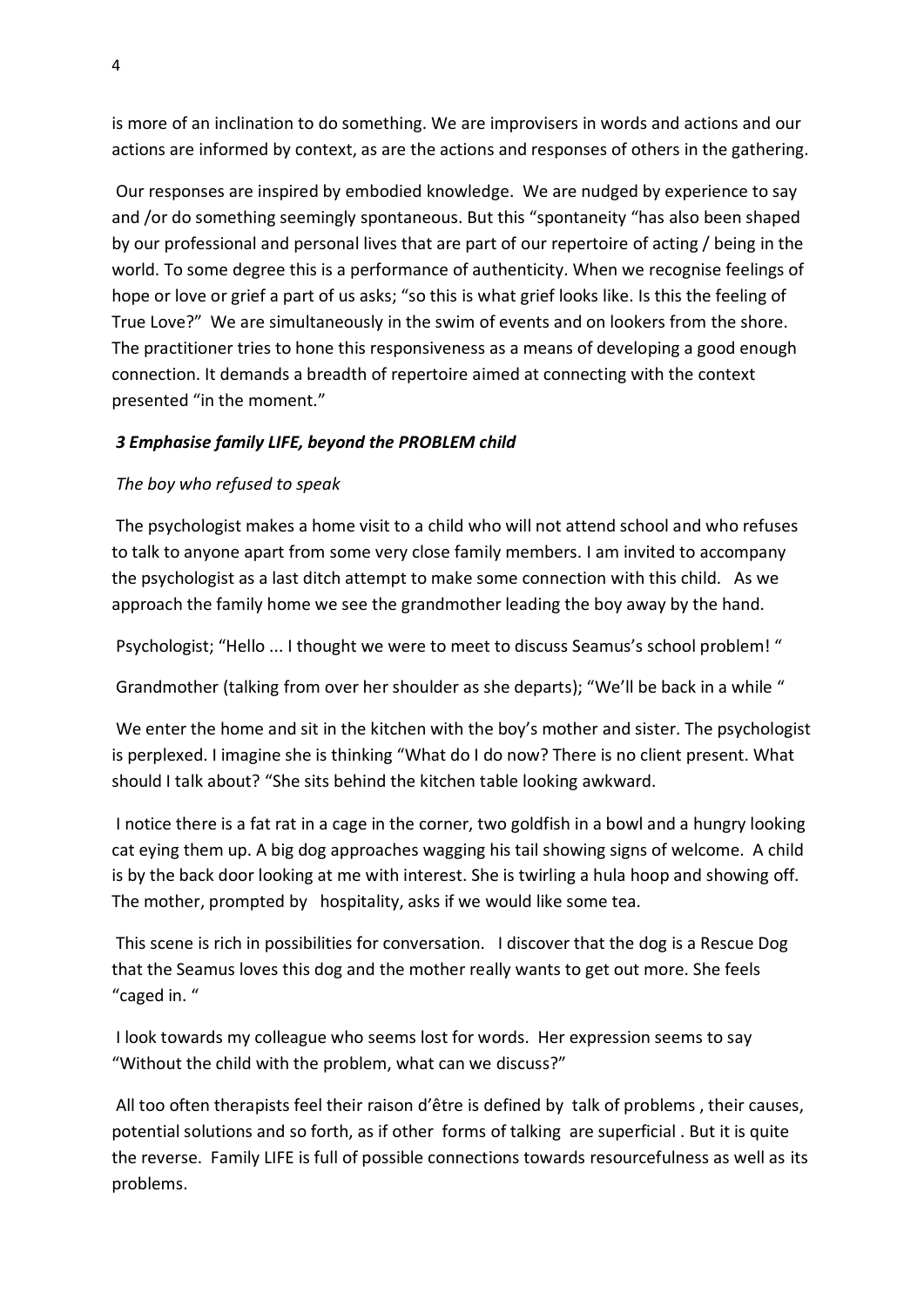is more of an inclination to do something. We are improvisers in words and actions and our actions are informed by context, as are the actions and responses of others in the gathering.

Our responses are inspired by embodied knowledge. We are nudged by experience to say and /or do something seemingly spontaneous. But this "spontaneity "has also been shaped by our professional and personal lives that are part of our repertoire of acting / being in the world. To some degree this is a performance of authenticity. When we recognise feelings of hope or love or grief a part of us asks; "so this is what grief looks like. Is this the feeling of True Love?" We are simultaneously in the swim of events and on lookers from the shore. The practitioner tries to hone this responsiveness as a means of developing a good enough connection. It demands a breadth of repertoire aimed at connecting with the context presented "in the moment."

### *3 Emphasise family LIFE, beyond the PROBLEM child*

### *The boy who refused to speak*

The psychologist makes a home visit to a child who will not attend school and who refuses to talk to anyone apart from some very close family members. I am invited to accompany the psychologist as a last ditch attempt to make some connection with this child. As we approach the family home we see the grandmother leading the boy away by the hand.

Psychologist; "Hello ... I thought we were to meet to discuss Seamus's school problem! "

Grandmother (talking from over her shoulder as she departs); "We'll be back in a while "

We enter the home and sit in the kitchen with the boy's mother and sister. The psychologist is perplexed. I imagine she is thinking "What do I do now? There is no client present. What should I talk about? "She sits behind the kitchen table looking awkward.

I notice there is a fat rat in a cage in the corner, two goldfish in a bowl and a hungry looking cat eying them up. A big dog approaches wagging his tail showing signs of welcome. A child is by the back door looking at me with interest. She is twirling a hula hoop and showing off. The mother, prompted by hospitality, asks if we would like some tea.

This scene is rich in possibilities for conversation. I discover that the dog is a Rescue Dog that the Seamus loves this dog and the mother really wants to get out more. She feels "caged in. "

I look towards my colleague who seems lost for words. Her expression seems to say "Without the child with the problem, what can we discuss?"

All too often therapists feel their raison d'être is defined by talk of problems , their causes, potential solutions and so forth, as if other forms of talking are superficial . But it is quite the reverse. Family LIFE is full of possible connections towards resourcefulness as well as its problems.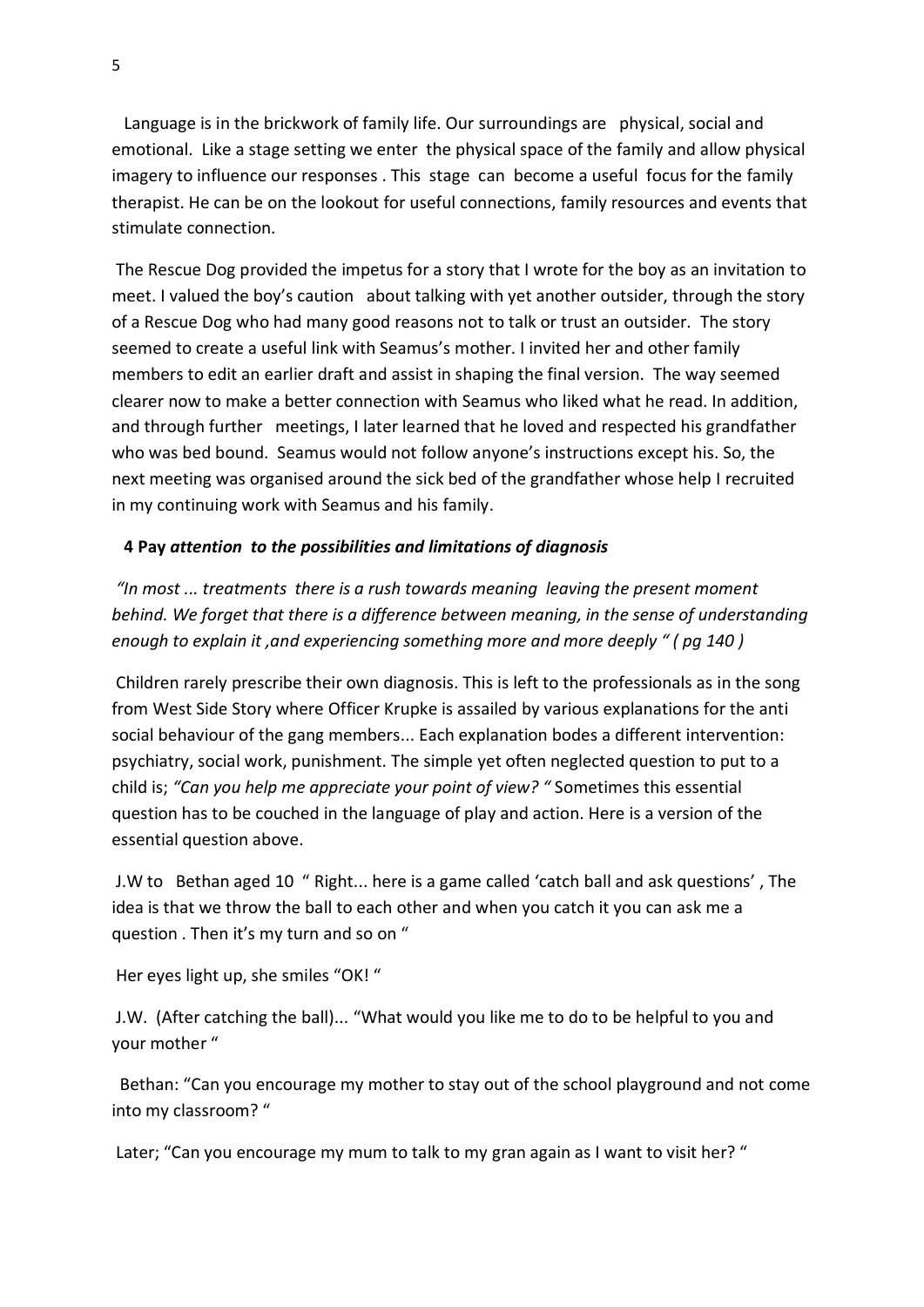Language is in the brickwork of family life. Our surroundings are physical, social and emotional. Like a stage setting we enter the physical space of the family and allow physical imagery to influence our responses . This stage can become a useful focus for the family therapist. He can be on the lookout for useful connections, family resources and events that stimulate connection.

The Rescue Dog provided the impetus for a story that I wrote for the boy as an invitation to meet. I valued the boy's caution about talking with yet another outsider, through the story of a Rescue Dog who had many good reasons not to talk or trust an outsider. The story seemed to create a useful link with Seamus's mother. I invited her and other family members to edit an earlier draft and assist in shaping the final version. The way seemed clearer now to make a better connection with Seamus who liked what he read. In addition, and through further meetings, I later learned that he loved and respected his grandfather who was bed bound. Seamus would not follow anyone's instructions except his. So, the next meeting was organised around the sick bed of the grandfather whose help I recruited in my continuing work with Seamus and his family.

### **4 Pay** *attention to the possibilities and limitations of diagnosis*

*"In most ... treatments there is a rush towards meaning leaving the present moment behind. We forget that there is a difference between meaning, in the sense of understanding enough to explain it ,and experiencing something more and more deeply " ( pg 140 )*

Children rarely prescribe their own diagnosis. This is left to the professionals as in the song from West Side Story where Officer Krupke is assailed by various explanations for the anti social behaviour of the gang members... Each explanation bodes a different intervention: psychiatry, social work, punishment. The simple yet often neglected question to put to a child is; *"Can you help me appreciate your point of view? "* Sometimes this essential question has to be couched in the language of play and action. Here is a version of the essential question above.

J.W to Bethan aged 10 " Right... here is a game called 'catch ball and ask questions' , The idea is that we throw the ball to each other and when you catch it you can ask me a question . Then it's my turn and so on "

Her eyes light up, she smiles "OK! "

J.W. (After catching the ball)... "What would you like me to do to be helpful to you and your mother "

 Bethan: "Can you encourage my mother to stay out of the school playground and not come into my classroom? "

Later; "Can you encourage my mum to talk to my gran again as I want to visit her? "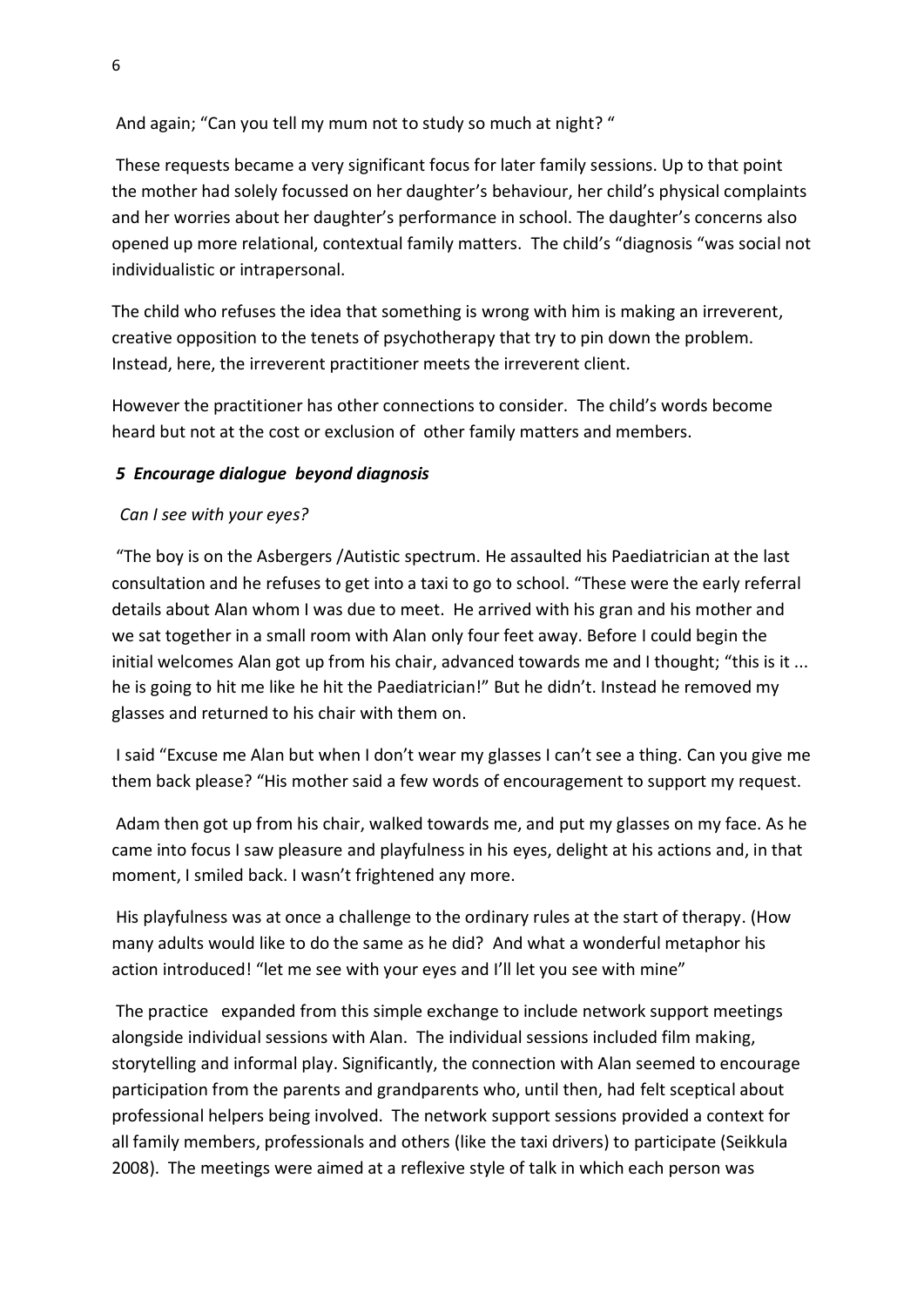And again; "Can you tell my mum not to study so much at night? "

These requests became a very significant focus for later family sessions. Up to that point the mother had solely focussed on her daughter's behaviour, her child's physical complaints and her worries about her daughter's performance in school. The daughter's concerns also opened up more relational, contextual family matters. The child's "diagnosis "was social not individualistic or intrapersonal.

The child who refuses the idea that something is wrong with him is making an irreverent, creative opposition to the tenets of psychotherapy that try to pin down the problem. Instead, here, the irreverent practitioner meets the irreverent client.

However the practitioner has other connections to consider. The child's words become heard but not at the cost or exclusion of other family matters and members.

# *5 Encourage dialogue beyond diagnosis*

# *Can I see with your eyes?*

"The boy is on the Asbergers /Autistic spectrum. He assaulted his Paediatrician at the last consultation and he refuses to get into a taxi to go to school. "These were the early referral details about Alan whom I was due to meet. He arrived with his gran and his mother and we sat together in a small room with Alan only four feet away. Before I could begin the initial welcomes Alan got up from his chair, advanced towards me and I thought; "this is it ... he is going to hit me like he hit the Paediatrician!" But he didn't. Instead he removed my glasses and returned to his chair with them on.

I said "Excuse me Alan but when I don't wear my glasses I can't see a thing. Can you give me them back please? "His mother said a few words of encouragement to support my request.

Adam then got up from his chair, walked towards me, and put my glasses on my face. As he came into focus I saw pleasure and playfulness in his eyes, delight at his actions and, in that moment, I smiled back. I wasn't frightened any more.

His playfulness was at once a challenge to the ordinary rules at the start of therapy. (How many adults would like to do the same as he did? And what a wonderful metaphor his action introduced! "let me see with your eyes and I'll let you see with mine"

The practice expanded from this simple exchange to include network support meetings alongside individual sessions with Alan. The individual sessions included film making, storytelling and informal play. Significantly, the connection with Alan seemed to encourage participation from the parents and grandparents who, until then, had felt sceptical about professional helpers being involved. The network support sessions provided a context for all family members, professionals and others (like the taxi drivers) to participate (Seikkula 2008). The meetings were aimed at a reflexive style of talk in which each person was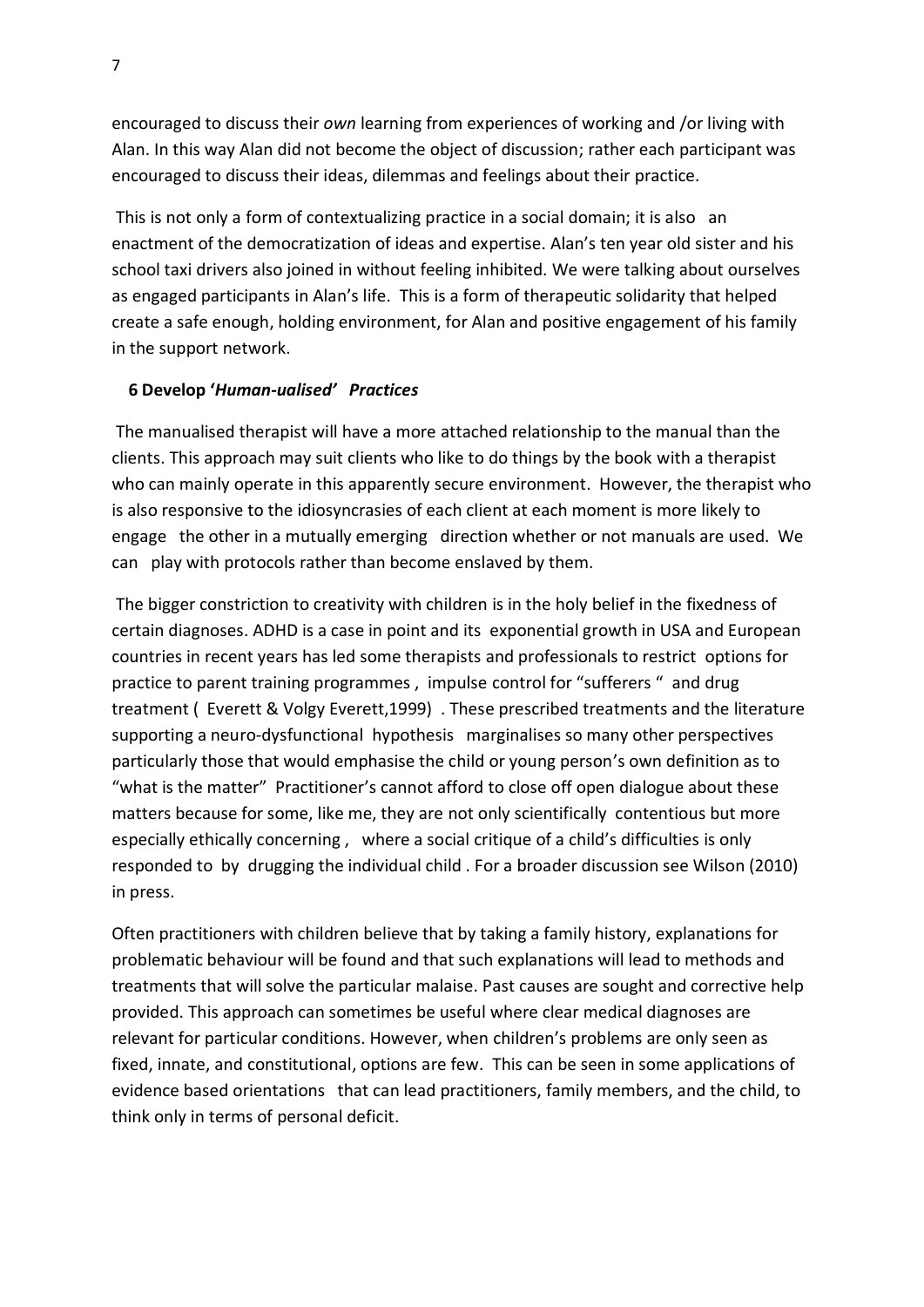encouraged to discuss their *own* learning from experiences of working and /or living with Alan. In this way Alan did not become the object of discussion; rather each participant was encouraged to discuss their ideas, dilemmas and feelings about their practice.

This is not only a form of contextualizing practice in a social domain; it is also an enactment of the democratization of ideas and expertise. Alan's ten year old sister and his school taxi drivers also joined in without feeling inhibited. We were talking about ourselves as engaged participants in Alan's life. This is a form of therapeutic solidarity that helped create a safe enough, holding environment, for Alan and positive engagement of his family in the support network.

### **6 Develop '***Human-ualised' Practices*

The manualised therapist will have a more attached relationship to the manual than the clients. This approach may suit clients who like to do things by the book with a therapist who can mainly operate in this apparently secure environment. However, the therapist who is also responsive to the idiosyncrasies of each client at each moment is more likely to engage the other in a mutually emerging direction whether or not manuals are used. We can play with protocols rather than become enslaved by them.

The bigger constriction to creativity with children is in the holy belief in the fixedness of certain diagnoses. ADHD is a case in point and its exponential growth in USA and European countries in recent years has led some therapists and professionals to restrict options for practice to parent training programmes , impulse control for "sufferers " and drug treatment ( Everett & Volgy Everett,1999) . These prescribed treatments and the literature supporting a neuro-dysfunctional hypothesis marginalises so many other perspectives particularly those that would emphasise the child or young person's own definition as to "what is the matter" Practitioner's cannot afford to close off open dialogue about these matters because for some, like me, they are not only scientifically contentious but more especially ethically concerning , where a social critique of a child's difficulties is only responded to by drugging the individual child . For a broader discussion see Wilson (2010) in press.

Often practitioners with children believe that by taking a family history, explanations for problematic behaviour will be found and that such explanations will lead to methods and treatments that will solve the particular malaise. Past causes are sought and corrective help provided. This approach can sometimes be useful where clear medical diagnoses are relevant for particular conditions. However, when children's problems are only seen as fixed, innate, and constitutional, options are few. This can be seen in some applications of evidence based orientations that can lead practitioners, family members, and the child, to think only in terms of personal deficit.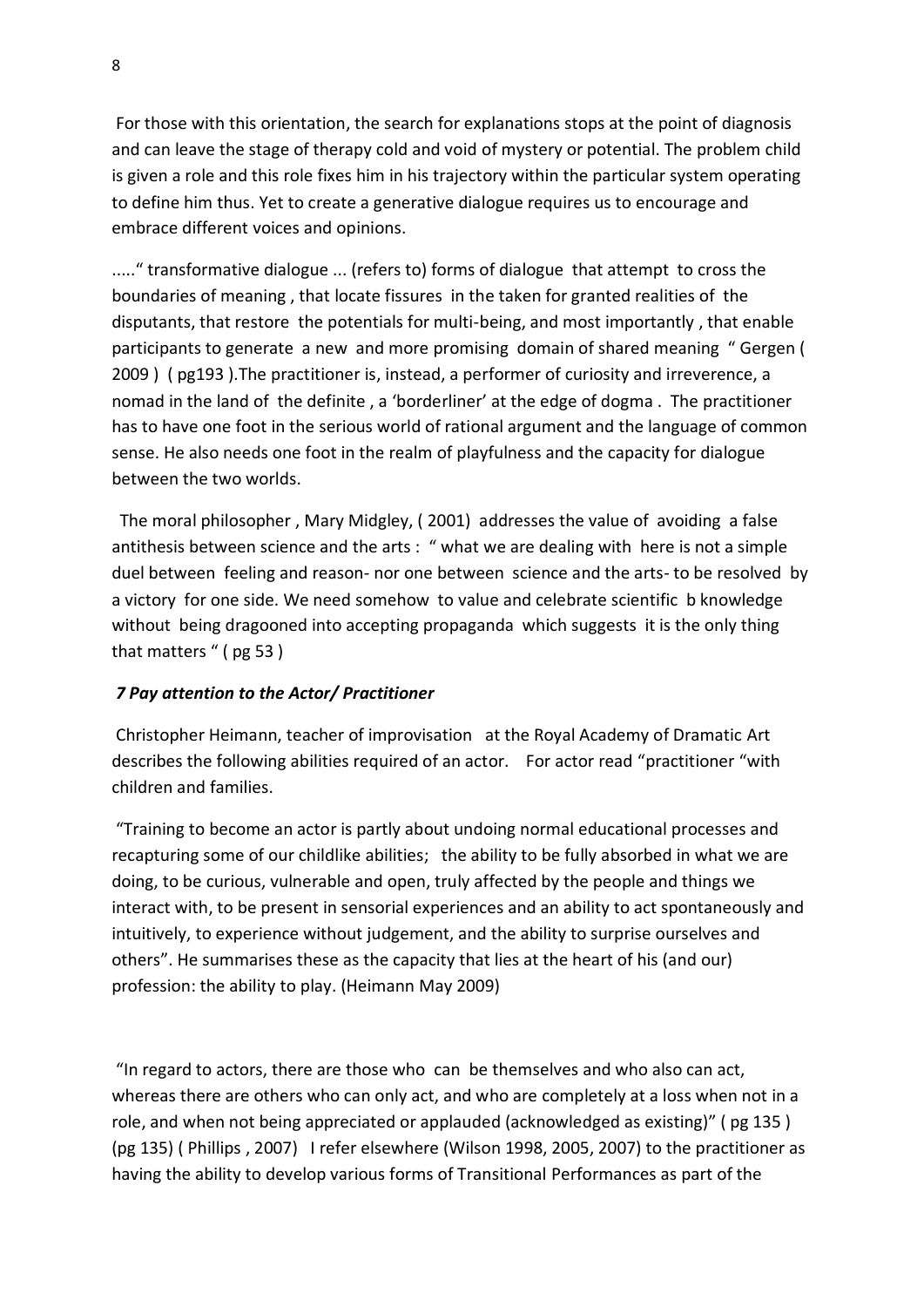For those with this orientation, the search for explanations stops at the point of diagnosis and can leave the stage of therapy cold and void of mystery or potential. The problem child is given a role and this role fixes him in his trajectory within the particular system operating to define him thus. Yet to create a generative dialogue requires us to encourage and embrace different voices and opinions.

....." transformative dialogue ... (refers to) forms of dialogue that attempt to cross the boundaries of meaning , that locate fissures in the taken for granted realities of the disputants, that restore the potentials for multi-being, and most importantly , that enable participants to generate a new and more promising domain of shared meaning " Gergen ( 2009 ) ( pg193 ).The practitioner is, instead, a performer of curiosity and irreverence, a nomad in the land of the definite , a 'borderliner' at the edge of dogma . The practitioner has to have one foot in the serious world of rational argument and the language of common sense. He also needs one foot in the realm of playfulness and the capacity for dialogue between the two worlds.

The moral philosopher , Mary Midgley, ( 2001) addresses the value of avoiding a false antithesis between science and the arts : " what we are dealing with here is not a simple duel between feeling and reason- nor one between science and the arts- to be resolved by a victory for one side. We need somehow to value and celebrate scientific b knowledge without being dragooned into accepting propaganda which suggests it is the only thing that matters " ( pg 53 )

#### *7 Pay attention to the Actor/ Practitioner*

Christopher Heimann, teacher of improvisation at the Royal Academy of Dramatic Art describes the following abilities required of an actor. For actor read "practitioner "with children and families.

"Training to become an actor is partly about undoing normal educational processes and recapturing some of our childlike abilities; the ability to be fully absorbed in what we are doing, to be curious, vulnerable and open, truly affected by the people and things we interact with, to be present in sensorial experiences and an ability to act spontaneously and intuitively, to experience without judgement, and the ability to surprise ourselves and others". He summarises these as the capacity that lies at the heart of his (and our) profession: the ability to play. (Heimann May 2009)

"In regard to actors, there are those who can be themselves and who also can act, whereas there are others who can only act, and who are completely at a loss when not in a role, and when not being appreciated or applauded (acknowledged as existing)" ( pg 135 ) (pg 135) ( Phillips , 2007) I refer elsewhere (Wilson 1998, 2005, 2007) to the practitioner as having the ability to develop various forms of Transitional Performances as part of the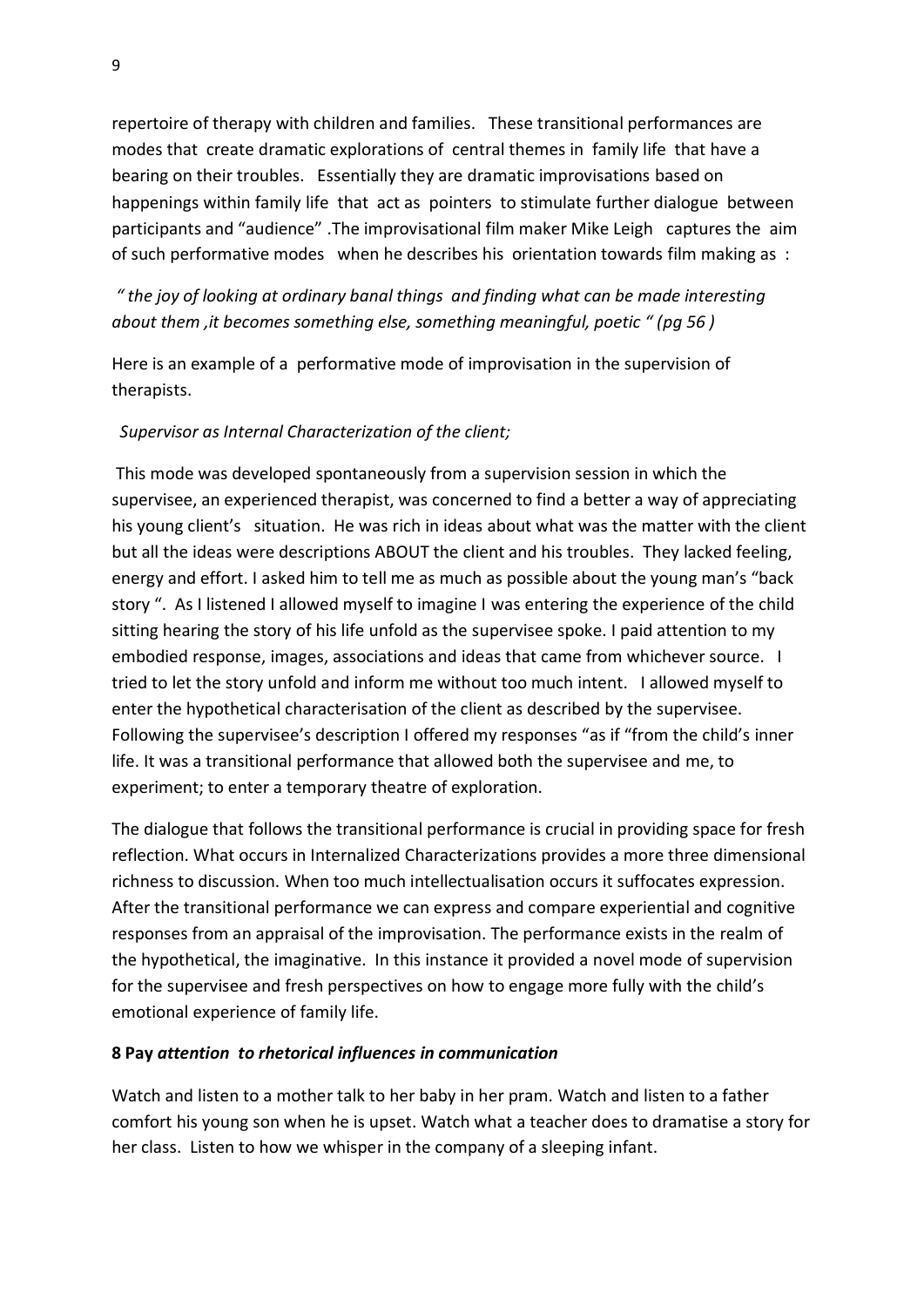repertoire of therapy with children and families. These transitional performances are modes that create dramatic explorations of central themes in family life that have a bearing on their troubles. Essentially they are dramatic improvisations based on happenings within family life that act as pointers to stimulate further dialogue between participants and "audience" .The improvisational film maker Mike Leigh captures the aim of such performative modes when he describes his orientation towards film making as :

*" the joy of looking at ordinary banal things and finding what can be made interesting about them ,it becomes something else, something meaningful, poetic " (pg 56 )*

Here is an example of a performative mode of improvisation in the supervision of therapists.

## *Supervisor as Internal Characterization of the client;*

This mode was developed spontaneously from a supervision session in which the supervisee, an experienced therapist, was concerned to find a better a way of appreciating his young client's situation. He was rich in ideas about what was the matter with the client but all the ideas were descriptions ABOUT the client and his troubles. They lacked feeling, energy and effort. I asked him to tell me as much as possible about the young man's "back story ". As I listened I allowed myself to imagine I was entering the experience of the child sitting hearing the story of his life unfold as the supervisee spoke. I paid attention to my embodied response, images, associations and ideas that came from whichever source. I tried to let the story unfold and inform me without too much intent. I allowed myself to enter the hypothetical characterisation of the client as described by the supervisee. Following the supervisee's description I offered my responses "as if "from the child's inner life. It was a transitional performance that allowed both the supervisee and me, to experiment; to enter a temporary theatre of exploration.

The dialogue that follows the transitional performance is crucial in providing space for fresh reflection. What occurs in Internalized Characterizations provides a more three dimensional richness to discussion. When too much intellectualisation occurs it suffocates expression. After the transitional performance we can express and compare experiential and cognitive responses from an appraisal of the improvisation. The performance exists in the realm of the hypothetical, the imaginative. In this instance it provided a novel mode of supervision for the supervisee and fresh perspectives on how to engage more fully with the child's emotional experience of family life.

### **8 Pay** *attention to rhetorical influences in communication*

Watch and listen to a mother talk to her baby in her pram. Watch and listen to a father comfort his young son when he is upset. Watch what a teacher does to dramatise a story for her class. Listen to how we whisper in the company of a sleeping infant.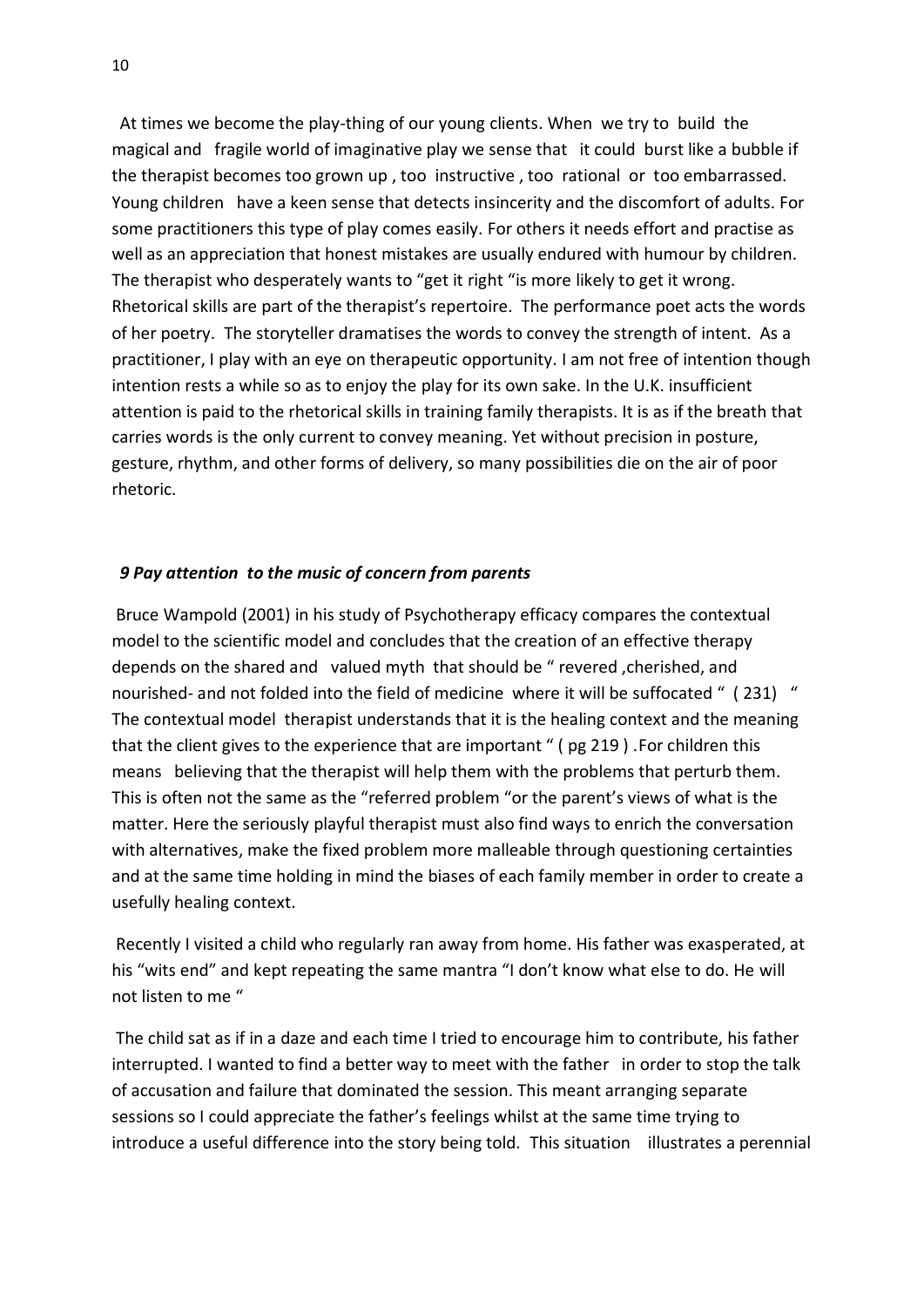At times we become the play-thing of our young clients. When we try to build the magical and fragile world of imaginative play we sense that it could burst like a bubble if the therapist becomes too grown up , too instructive , too rational or too embarrassed. Young children have a keen sense that detects insincerity and the discomfort of adults. For some practitioners this type of play comes easily. For others it needs effort and practise as well as an appreciation that honest mistakes are usually endured with humour by children. The therapist who desperately wants to "get it right "is more likely to get it wrong. Rhetorical skills are part of the therapist's repertoire. The performance poet acts the words of her poetry. The storyteller dramatises the words to convey the strength of intent. As a practitioner, I play with an eye on therapeutic opportunity. I am not free of intention though intention rests a while so as to enjoy the play for its own sake. In the U.K. insufficient attention is paid to the rhetorical skills in training family therapists. It is as if the breath that carries words is the only current to convey meaning. Yet without precision in posture, gesture, rhythm, and other forms of delivery, so many possibilities die on the air of poor rhetoric.

### *9 Pay attention to the music of concern from parents*

Bruce Wampold (2001) in his study of Psychotherapy efficacy compares the contextual model to the scientific model and concludes that the creation of an effective therapy depends on the shared and valued myth that should be " revered ,cherished, and nourished- and not folded into the field of medicine where it will be suffocated " ( 231) " The contextual model therapist understands that it is the healing context and the meaning that the client gives to the experience that are important " ( pg 219 ) .For children this means believing that the therapist will help them with the problems that perturb them. This is often not the same as the "referred problem "or the parent's views of what is the matter. Here the seriously playful therapist must also find ways to enrich the conversation with alternatives, make the fixed problem more malleable through questioning certainties and at the same time holding in mind the biases of each family member in order to create a usefully healing context.

Recently I visited a child who regularly ran away from home. His father was exasperated, at his "wits end" and kept repeating the same mantra "I don't know what else to do. He will not listen to me "

The child sat as if in a daze and each time I tried to encourage him to contribute, his father interrupted. I wanted to find a better way to meet with the father in order to stop the talk of accusation and failure that dominated the session. This meant arranging separate sessions so I could appreciate the father's feelings whilst at the same time trying to introduce a useful difference into the story being told. This situation illustrates a perennial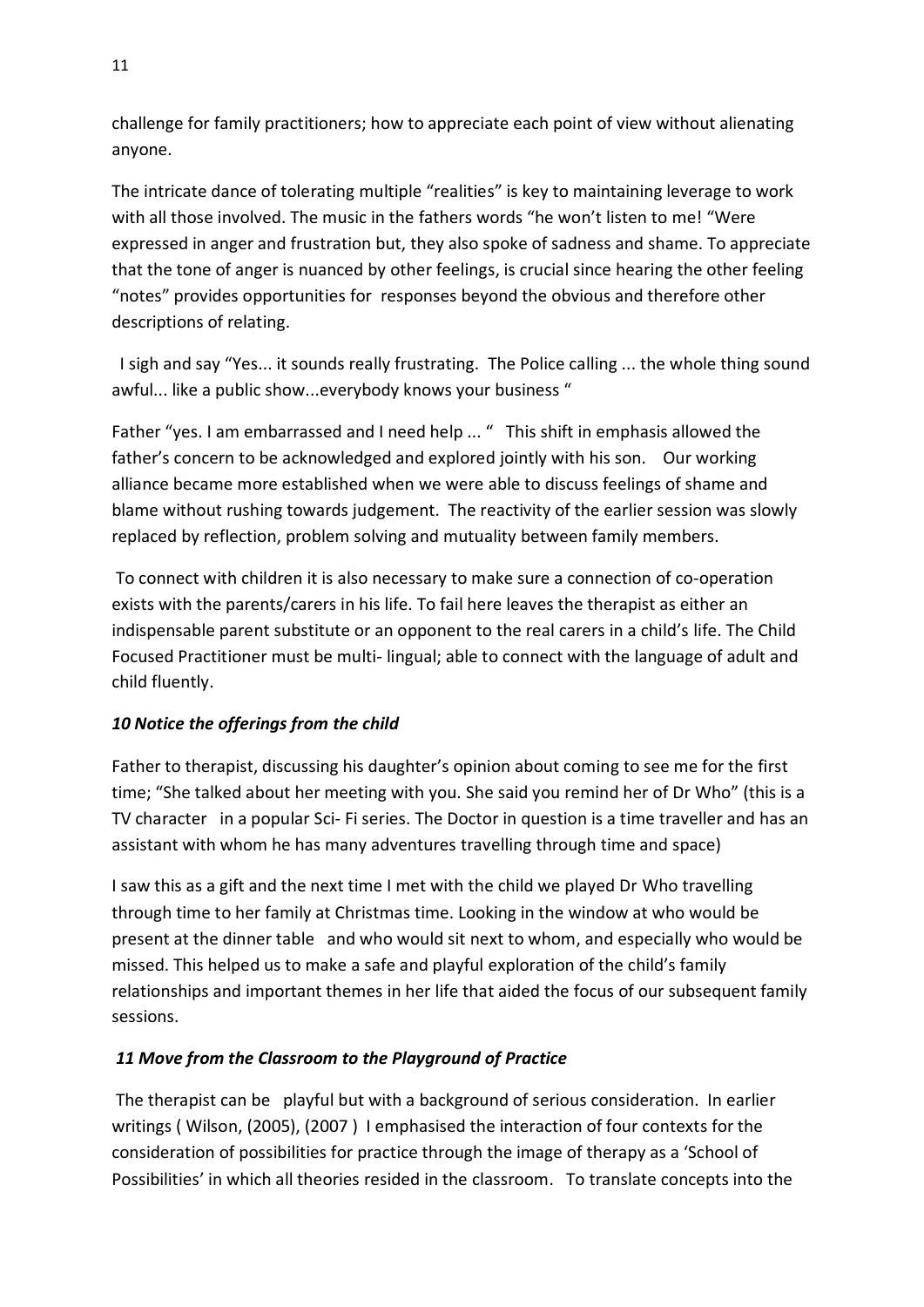challenge for family practitioners; how to appreciate each point of view without alienating anyone.

The intricate dance of tolerating multiple "realities" is key to maintaining leverage to work with all those involved. The music in the fathers words "he won't listen to me! "Were expressed in anger and frustration but, they also spoke of sadness and shame. To appreciate that the tone of anger is nuanced by other feelings, is crucial since hearing the other feeling "notes" provides opportunities for responses beyond the obvious and therefore other descriptions of relating.

 I sigh and say "Yes... it sounds really frustrating. The Police calling ... the whole thing sound awful... like a public show...everybody knows your business "

Father "yes. I am embarrassed and I need help ... " This shift in emphasis allowed the father's concern to be acknowledged and explored jointly with his son. Our working alliance became more established when we were able to discuss feelings of shame and blame without rushing towards judgement. The reactivity of the earlier session was slowly replaced by reflection, problem solving and mutuality between family members.

To connect with children it is also necessary to make sure a connection of co-operation exists with the parents/carers in his life. To fail here leaves the therapist as either an indispensable parent substitute or an opponent to the real carers in a child's life. The Child Focused Practitioner must be multi- lingual; able to connect with the language of adult and child fluently.

# *10 Notice the offerings from the child*

Father to therapist, discussing his daughter's opinion about coming to see me for the first time; "She talked about her meeting with you. She said you remind her of Dr Who" (this is a TV character in a popular Sci- Fi series. The Doctor in question is a time traveller and has an assistant with whom he has many adventures travelling through time and space)

I saw this as a gift and the next time I met with the child we played Dr Who travelling through time to her family at Christmas time. Looking in the window at who would be present at the dinner table and who would sit next to whom, and especially who would be missed. This helped us to make a safe and playful exploration of the child's family relationships and important themes in her life that aided the focus of our subsequent family sessions.

# *11 Move from the Classroom to the Playground of Practice*

The therapist can be playful but with a background of serious consideration. In earlier writings ( Wilson, (2005), (2007 ) I emphasised the interaction of four contexts for the consideration of possibilities for practice through the image of therapy as a 'School of Possibilities' in which all theories resided in the classroom. To translate concepts into the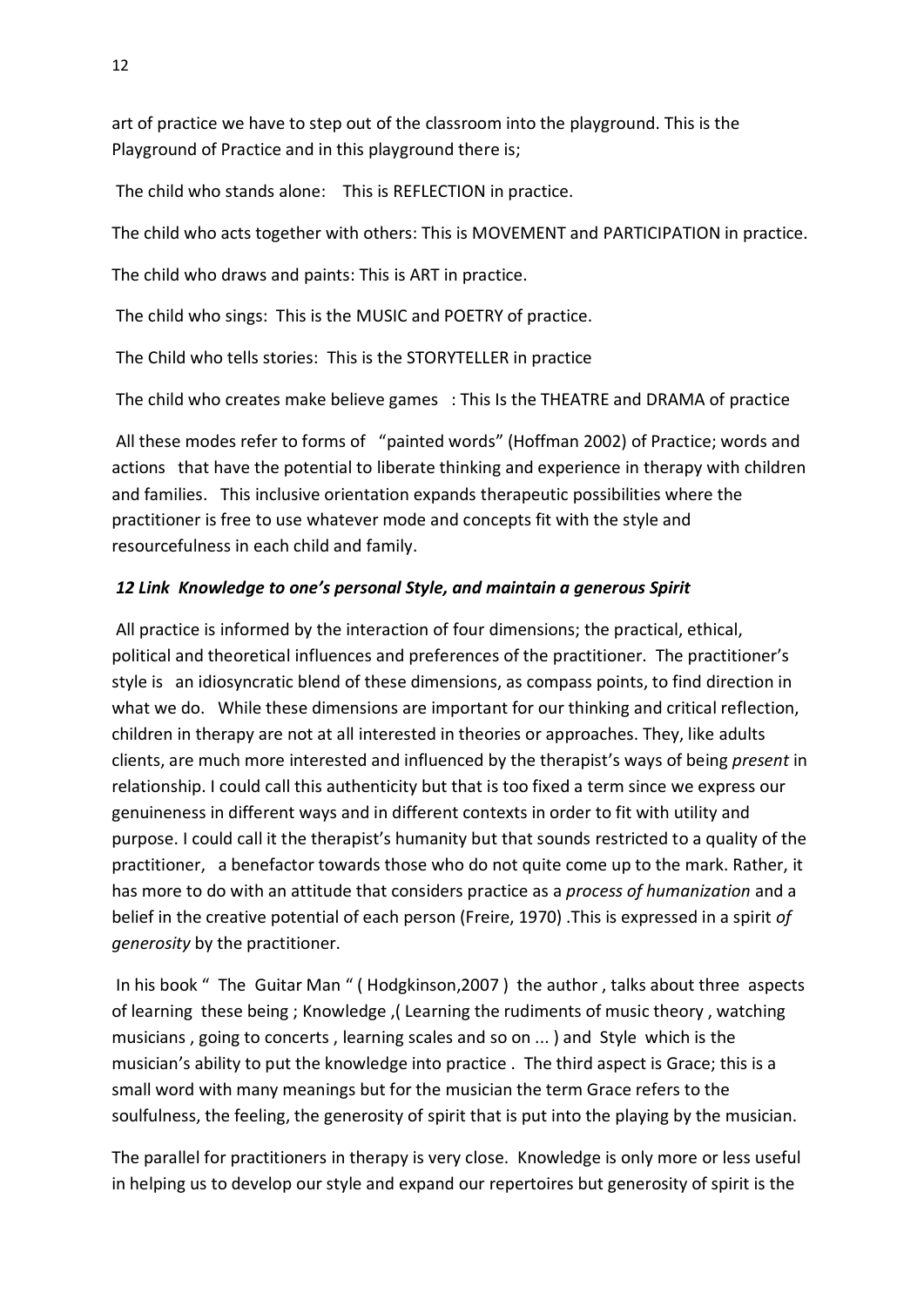art of practice we have to step out of the classroom into the playground. This is the Playground of Practice and in this playground there is;

The child who stands alone: This is REFLECTION in practice.

The child who acts together with others: This is MOVEMENT and PARTICIPATION in practice.

The child who draws and paints: This is ART in practice.

The child who sings: This is the MUSIC and POETRY of practice.

The Child who tells stories: This is the STORYTELLER in practice

The child who creates make believe games : This Is the THEATRE and DRAMA of practice

All these modes refer to forms of "painted words" (Hoffman 2002) of Practice; words and actions that have the potential to liberate thinking and experience in therapy with children and families. This inclusive orientation expands therapeutic possibilities where the practitioner is free to use whatever mode and concepts fit with the style and resourcefulness in each child and family.

## *12 Link Knowledge to one's personal Style, and maintain a generous Spirit*

All practice is informed by the interaction of four dimensions; the practical, ethical, political and theoretical influences and preferences of the practitioner. The practitioner's style is an idiosyncratic blend of these dimensions, as compass points, to find direction in what we do. While these dimensions are important for our thinking and critical reflection, children in therapy are not at all interested in theories or approaches. They, like adults clients, are much more interested and influenced by the therapist's ways of being *present* in relationship. I could call this authenticity but that is too fixed a term since we express our genuineness in different ways and in different contexts in order to fit with utility and purpose. I could call it the therapist's humanity but that sounds restricted to a quality of the practitioner, a benefactor towards those who do not quite come up to the mark. Rather, it has more to do with an attitude that considers practice as a *process of humanization* and a belief in the creative potential of each person (Freire, 1970) .This is expressed in a spirit *of generosity* by the practitioner.

In his book " The Guitar Man " ( Hodgkinson,2007 ) the author , talks about three aspects of learning these being ; Knowledge ,( Learning the rudiments of music theory , watching musicians , going to concerts , learning scales and so on ... ) and Style which is the musician's ability to put the knowledge into practice . The third aspect is Grace; this is a small word with many meanings but for the musician the term Grace refers to the soulfulness, the feeling, the generosity of spirit that is put into the playing by the musician.

The parallel for practitioners in therapy is very close. Knowledge is only more or less useful in helping us to develop our style and expand our repertoires but generosity of spirit is the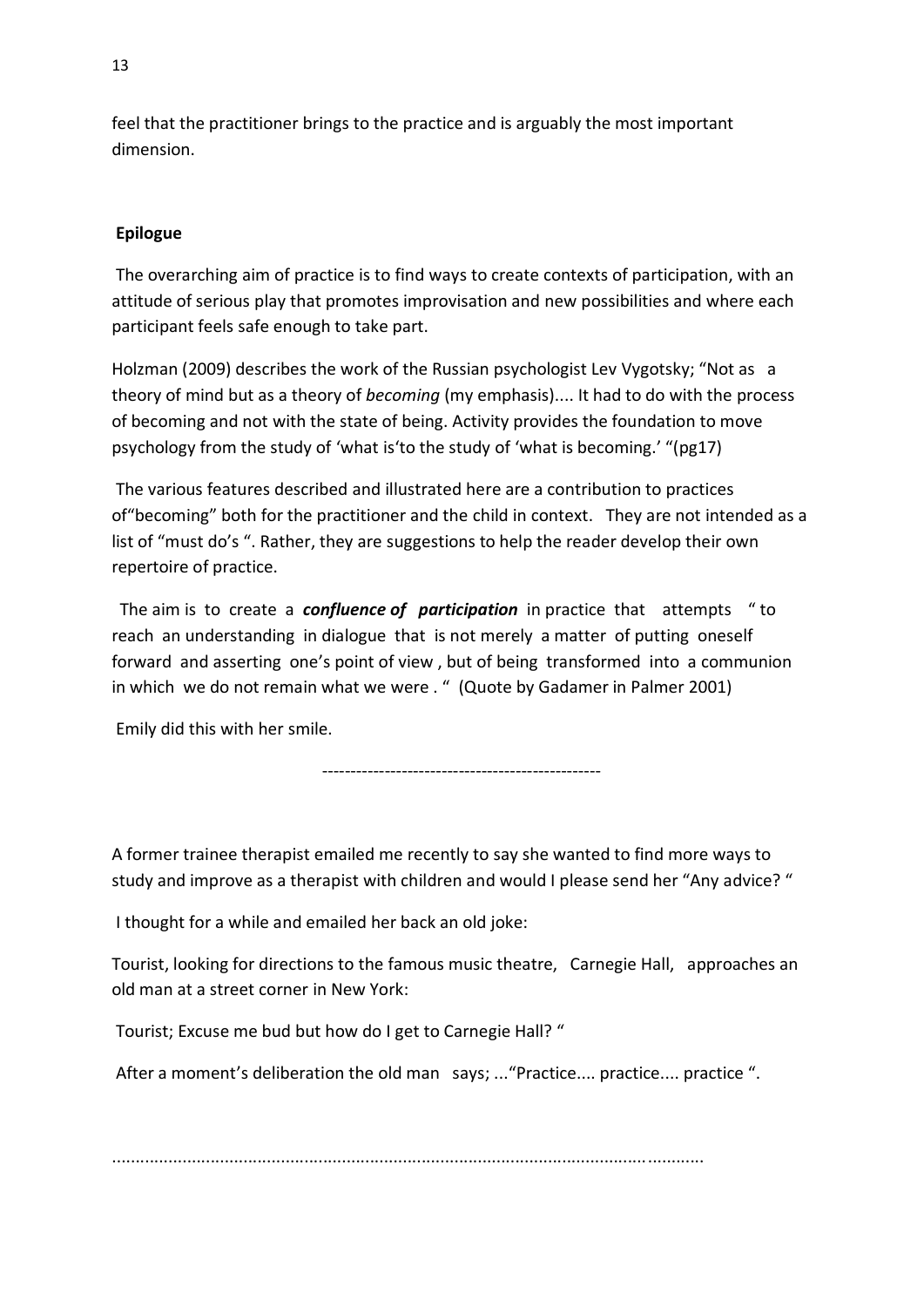feel that the practitioner brings to the practice and is arguably the most important dimension.

# **Epilogue**

The overarching aim of practice is to find ways to create contexts of participation, with an attitude of serious play that promotes improvisation and new possibilities and where each participant feels safe enough to take part.

Holzman (2009) describes the work of the Russian psychologist Lev Vygotsky; "Not as a theory of mind but as a theory of *becoming* (my emphasis).... It had to do with the process of becoming and not with the state of being. Activity provides the foundation to move psychology from the study of 'what is'to the study of 'what is becoming.' "(pg17)

The various features described and illustrated here are a contribution to practices of"becoming" both for the practitioner and the child in context. They are not intended as a list of "must do's ". Rather, they are suggestions to help the reader develop their own repertoire of practice.

 The aim is to create a *confluence of participation* in practice that attempts " to reach an understanding in dialogue that is not merely a matter of putting oneself forward and asserting one's point of view , but of being transformed into a communion in which we do not remain what we were . " (Quote by Gadamer in Palmer 2001)

Emily did this with her smile.

-------------------------------------------------

A former trainee therapist emailed me recently to say she wanted to find more ways to study and improve as a therapist with children and would I please send her "Any advice? "

I thought for a while and emailed her back an old joke:

Tourist, looking for directions to the famous music theatre, Carnegie Hall, approaches an old man at a street corner in New York:

Tourist; Excuse me bud but how do I get to Carnegie Hall? "

After a moment's deliberation the old man says; ..."Practice.... practice.... practice ".

..............................................................................................................................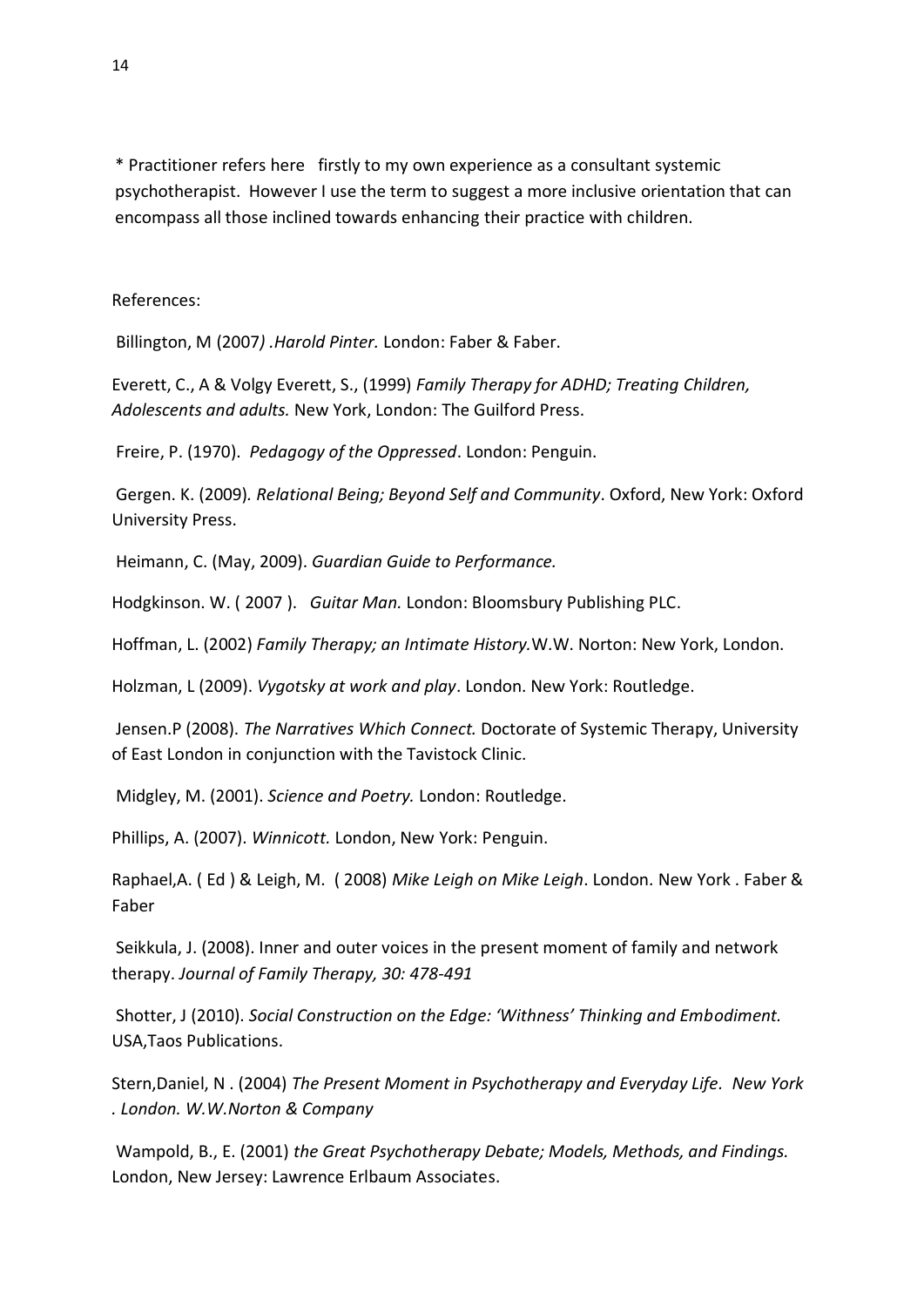\* Practitioner refers here firstly to my own experience as a consultant systemic psychotherapist. However I use the term to suggest a more inclusive orientation that can encompass all those inclined towards enhancing their practice with children.

## References:

Billington, M (2007*) .Harold Pinter.* London: Faber & Faber.

Everett, C., A & Volgy Everett, S., (1999) *Family Therapy for ADHD; Treating Children, Adolescents and adults.* New York, London: The Guilford Press.

Freire, P. (1970). *Pedagogy of the Oppressed*. London: Penguin.

Gergen. K. (2009)*. Relational Being; Beyond Self and Community*. Oxford, New York: Oxford University Press.

Heimann, C. (May, 2009). *Guardian Guide to Performance.*

Hodgkinson. W. ( 2007 ). *Guitar Man.* London: Bloomsbury Publishing PLC.

Hoffman, L. (2002) *Family Therapy; an Intimate History.*W.W. Norton: New York, London.

Holzman, L (2009). *Vygotsky at work and play*. London. New York: Routledge.

Jensen.P (2008). *The Narratives Which Connect.* Doctorate of Systemic Therapy, University of East London in conjunction with the Tavistock Clinic.

Midgley, M. (2001). *Science and Poetry.* London: Routledge.

Phillips, A. (2007). *Winnicott.* London, New York: Penguin.

Raphael,A. ( Ed ) & Leigh, M. ( 2008) *Mike Leigh on Mike Leigh*. London. New York . Faber & Faber

Seikkula, J. (2008). Inner and outer voices in the present moment of family and network therapy. *Journal of Family Therapy, 30: 478-491*

Shotter, J (2010). *Social Construction on the Edge: 'Withness' Thinking and Embodiment.*  USA,Taos Publications.

Stern,Daniel, N . (2004) *The Present Moment in Psychotherapy and Everyday Life. New York . London. W.W.Norton & Company*

Wampold, B., E. (2001) *the Great Psychotherapy Debate; Models, Methods, and Findings.*  London, New Jersey: Lawrence Erlbaum Associates.